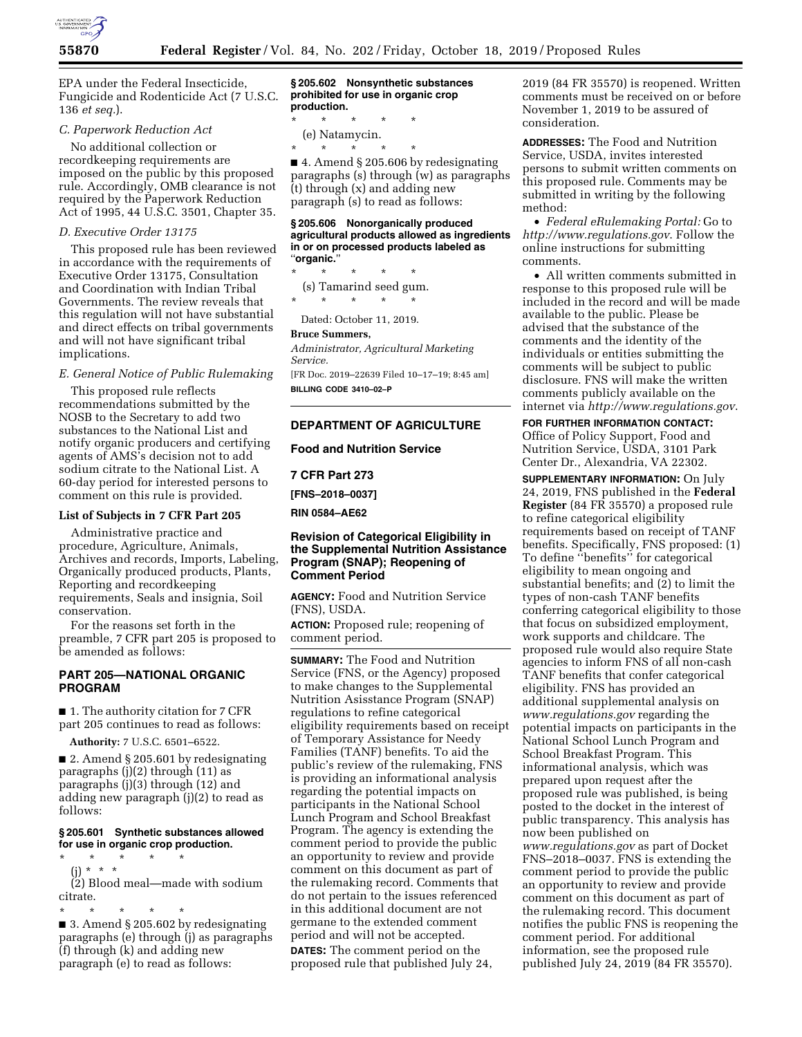

EPA under the Federal Insecticide, Fungicide and Rodenticide Act (7 U.S.C. 136 *et seq.*).

### *C. Paperwork Reduction Act*

No additional collection or recordkeeping requirements are imposed on the public by this proposed rule. Accordingly, OMB clearance is not required by the Paperwork Reduction Act of 1995, 44 U.S.C. 3501, Chapter 35.

### *D. Executive Order 13175*

This proposed rule has been reviewed in accordance with the requirements of Executive Order 13175, Consultation and Coordination with Indian Tribal Governments. The review reveals that this regulation will not have substantial and direct effects on tribal governments and will not have significant tribal implications.

# *E. General Notice of Public Rulemaking*

This proposed rule reflects recommendations submitted by the NOSB to the Secretary to add two substances to the National List and notify organic producers and certifying agents of AMS's decision not to add sodium citrate to the National List. A 60-day period for interested persons to comment on this rule is provided.

# **List of Subjects in 7 CFR Part 205**

Administrative practice and procedure, Agriculture, Animals, Archives and records, Imports, Labeling, Organically produced products, Plants, Reporting and recordkeeping requirements, Seals and insignia, Soil conservation.

For the reasons set forth in the preamble, 7 CFR part 205 is proposed to be amended as follows:

## **PART 205—NATIONAL ORGANIC PROGRAM**

■ 1. The authority citation for 7 CFR part 205 continues to read as follows:

**Authority:** 7 U.S.C. 6501–6522.

■ 2. Amend § 205.601 by redesignating paragraphs (j)(2) through (11) as paragraphs (j)(3) through (12) and adding new paragraph (j)(2) to read as follows:

### **§ 205.601 Synthetic substances allowed for use in organic crop production.**

\* \* \* \* \*

(j) \* \* \* (2) Blood meal—made with sodium citrate.

\* \* \* \* \* ■ 3. Amend § 205.602 by redesignating paragraphs (e) through (j) as paragraphs (f) through (k) and adding new paragraph (e) to read as follows:

**§ 205.602 Nonsynthetic substances prohibited for use in organic crop production.** 

\* \* \* \* \* (e) Natamycin.

\* \* \* \* \*

■ 4. Amend § 205.606 by redesignating paragraphs (s) through (w) as paragraphs (t) through (x) and adding new paragraph (s) to read as follows:

#### **§ 205.606 Nonorganically produced agricultural products allowed as ingredients in or on processed products labeled as**  ''**organic.**''

\* \* \* \* \*

(s) Tamarind seed gum. \* \* \* \* \*

Dated: October 11, 2019.

#### **Bruce Summers,**

*Administrator, Agricultural Marketing Service.* 

[FR Doc. 2019–22639 Filed 10–17–19; 8:45 am] **BILLING CODE 3410–02–P** 

### **DEPARTMENT OF AGRICULTURE**

**Food and Nutrition Service** 

**7 CFR Part 273** 

**[FNS–2018–0037]** 

**RIN 0584–AE62** 

# **Revision of Categorical Eligibility in the Supplemental Nutrition Assistance Program (SNAP); Reopening of Comment Period**

**AGENCY:** Food and Nutrition Service (FNS), USDA.

**ACTION:** Proposed rule; reopening of comment period.

**SUMMARY:** The Food and Nutrition Service (FNS, or the Agency) proposed to make changes to the Supplemental Nutrition Asisstance Program (SNAP) regulations to refine categorical eligibility requirements based on receipt of Temporary Assistance for Needy Families (TANF) benefits. To aid the public's review of the rulemaking, FNS is providing an informational analysis regarding the potential impacts on participants in the National School Lunch Program and School Breakfast Program. The agency is extending the comment period to provide the public an opportunity to review and provide comment on this document as part of the rulemaking record. Comments that do not pertain to the issues referenced in this additional document are not germane to the extended comment period and will not be accepted.

**DATES:** The comment period on the proposed rule that published July 24, 2019 (84 FR 35570) is reopened. Written comments must be received on or before November 1, 2019 to be assured of consideration.

**ADDRESSES:** The Food and Nutrition Service, USDA, invites interested persons to submit written comments on this proposed rule. Comments may be submitted in writing by the following method:

• *Federal eRulemaking Portal:* Go to *<http://www.regulations.gov>*. Follow the online instructions for submitting comments.

• All written comments submitted in response to this proposed rule will be included in the record and will be made available to the public. Please be advised that the substance of the comments and the identity of the individuals or entities submitting the comments will be subject to public disclosure. FNS will make the written comments publicly available on the internet via *<http://www.regulations.gov>*.

# **FOR FURTHER INFORMATION CONTACT:**

Office of Policy Support, Food and Nutrition Service, USDA, 3101 Park Center Dr., Alexandria, VA 22302.

**SUPPLEMENTARY INFORMATION:** On July 24, 2019, FNS published in the **Federal Register** (84 FR 35570) a proposed rule to refine categorical eligibility requirements based on receipt of TANF benefits. Specifically, FNS proposed: (1) To define ''benefits'' for categorical eligibility to mean ongoing and substantial benefits; and (2) to limit the types of non-cash TANF benefits conferring categorical eligibility to those that focus on subsidized employment, work supports and childcare. The proposed rule would also require State agencies to inform FNS of all non-cash TANF benefits that confer categorical eligibility. FNS has provided an additional supplemental analysis on *[www.regulations.gov](http://www.regulations.gov)* regarding the potential impacts on participants in the National School Lunch Program and School Breakfast Program. This informational analysis, which was prepared upon request after the proposed rule was published, is being posted to the docket in the interest of public transparency. This analysis has now been published on *[www.regulations.gov](http://www.regulations.gov)* as part of Docket FNS–2018–0037. FNS is extending the comment period to provide the public an opportunity to review and provide comment on this document as part of the rulemaking record. This document notifies the public FNS is reopening the comment period. For additional information, see the proposed rule published July 24, 2019 (84 FR 35570).